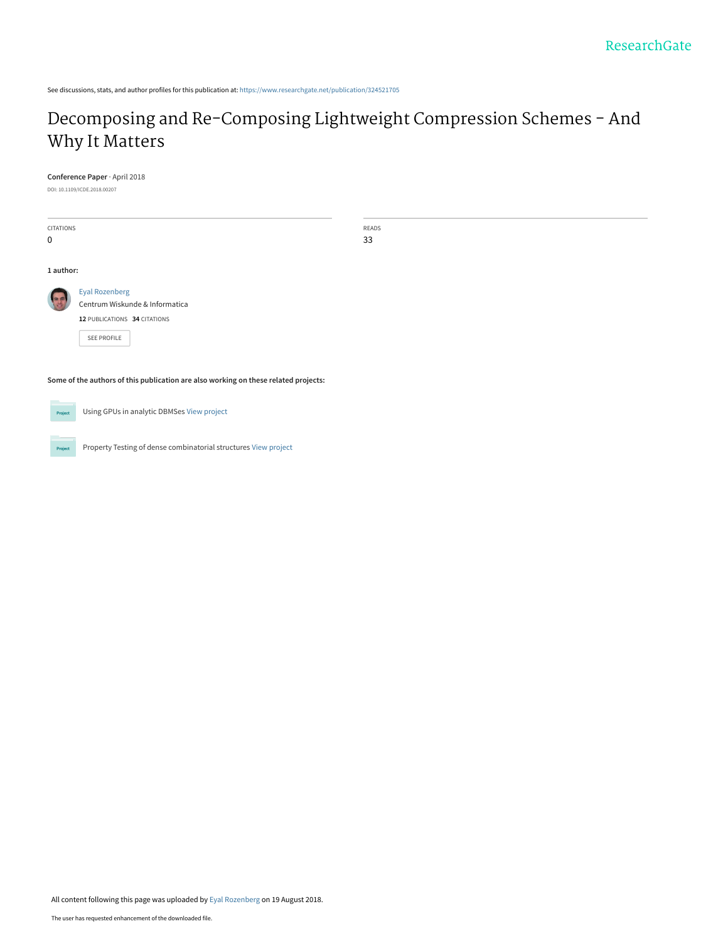See discussions, stats, and author profiles for this publication at: [https://www.researchgate.net/publication/324521705](https://www.researchgate.net/publication/324521705_Decomposing_and_Re-Composing_Lightweight_Compression_Schemes_-_And_Why_It_Matters?enrichId=rgreq-a3eaeedd8c8e2061df3646dfe2ef4b21-XXX&enrichSource=Y292ZXJQYWdlOzMyNDUyMTcwNTtBUzo2NjE0MjMyMTAzODU0MDhAMTUzNDcwNjk5MDY0OA%3D%3D&el=1_x_2&_esc=publicationCoverPdf)

# [Decomposing and Re-Composing Lightweight Compression Schemes - And](https://www.researchgate.net/publication/324521705_Decomposing_and_Re-Composing_Lightweight_Compression_Schemes_-_And_Why_It_Matters?enrichId=rgreq-a3eaeedd8c8e2061df3646dfe2ef4b21-XXX&enrichSource=Y292ZXJQYWdlOzMyNDUyMTcwNTtBUzo2NjE0MjMyMTAzODU0MDhAMTUzNDcwNjk5MDY0OA%3D%3D&el=1_x_3&_esc=publicationCoverPdf) Why It Matters

**Conference Paper** · April 2018

DOI: 10.1109/ICDE.2018.00207

Project

| <b>CITATIONS</b><br>$\Omega$                                                        |                                                                                                        | <b>READS</b><br>33 |  |  |
|-------------------------------------------------------------------------------------|--------------------------------------------------------------------------------------------------------|--------------------|--|--|
| 1 author:                                                                           |                                                                                                        |                    |  |  |
|                                                                                     | <b>Eyal Rozenberg</b><br>Centrum Wiskunde & Informatica<br>12 PUBLICATIONS 34 CITATIONS<br>SEE PROFILE |                    |  |  |
| Some of the authors of this publication are also working on these related projects: |                                                                                                        |                    |  |  |
| Project                                                                             | Using GPUs in analytic DBMSes View project                                                             |                    |  |  |

Property Testing of dense combinatorial structures [View project](https://www.researchgate.net/project/Property-Testing-of-dense-combinatorial-structures?enrichId=rgreq-a3eaeedd8c8e2061df3646dfe2ef4b21-XXX&enrichSource=Y292ZXJQYWdlOzMyNDUyMTcwNTtBUzo2NjE0MjMyMTAzODU0MDhAMTUzNDcwNjk5MDY0OA%3D%3D&el=1_x_9&_esc=publicationCoverPdf)

All content following this page was uploaded by [Eyal Rozenberg](https://www.researchgate.net/profile/Eyal_Rozenberg?enrichId=rgreq-a3eaeedd8c8e2061df3646dfe2ef4b21-XXX&enrichSource=Y292ZXJQYWdlOzMyNDUyMTcwNTtBUzo2NjE0MjMyMTAzODU0MDhAMTUzNDcwNjk5MDY0OA%3D%3D&el=1_x_10&_esc=publicationCoverPdf) on 19 August 2018.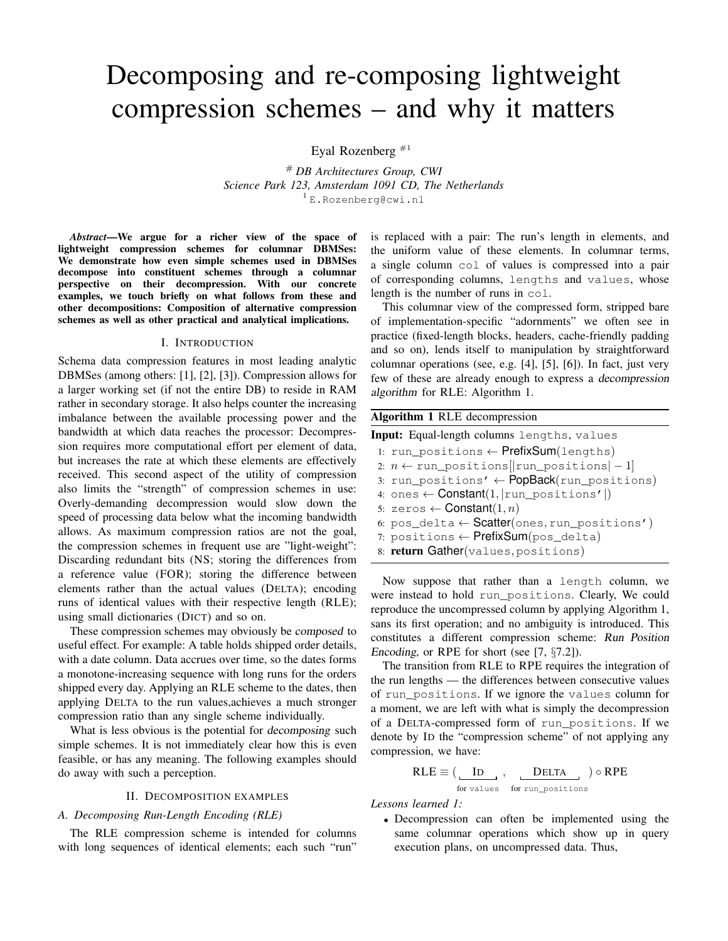# Decomposing and re-composing lightweight compression schemes – and why it matters

Eyal Rozenberg #1

# *DB Architectures Group, CWI Science Park 123, Amsterdam 1091 CD, The Netherlands* <sup>1</sup> E.Rozenberg@cwi.nl

*Abstract*—We argue for a richer view of the space of lightweight compression schemes for columnar DBMSes: We demonstrate how even simple schemes used in DBMSes decompose into constituent schemes through a columnar perspective on their decompression. With our concrete examples, we touch briefly on what follows from these and other decompositions: Composition of alternative compression schemes as well as other practical and analytical implications.

#### I. INTRODUCTION

Schema data compression features in most leading analytic DBMSes (among others: [\[1\]](#page-2-0), [\[2\]](#page-2-1), [\[3\]](#page-2-2)). Compression allows for a larger working set (if not the entire DB) to reside in RAM rather in secondary storage. It also helps counter the increasing imbalance between the available processing power and the bandwidth at which data reaches the processor: Decompression requires more computational effort per element of data, but increases the rate at which these elements are effectively received. This second aspect of the utility of compression also limits the "strength" of compression schemes in use: Overly-demanding decompression would slow down the speed of processing data below what the incoming bandwidth allows. As maximum compression ratios are not the goal, the compression schemes in frequent use are "light-weight": Discarding redundant bits (NS; storing the differences from a reference value (FOR); storing the difference between elements rather than the actual values (DELTA); encoding runs of identical values with their respective length (RLE); using small dictionaries (DICT) and so on.

These compression schemes may obviously be composed to useful effect. For example: A table holds shipped order details, with a date column. Data accrues over time, so the dates forms a monotone-increasing sequence with long runs for the orders shipped every day. Applying an RLE scheme to the dates, then applying DELTA to the run values,achieves a much stronger compression ratio than any single scheme individually.

What is less obvious is the potential for *decomposing* such simple schemes. It is not immediately clear how this is even feasible, or has any meaning. The following examples should do away with such a perception.

#### II. DECOMPOSITION EXAMPLES

# *A. Decomposing Run-Length Encoding (RLE)*

The RLE compression scheme is intended for columns with long sequences of identical elements; each such "run" is replaced with a pair: The run's length in elements, and the uniform value of these elements. In columnar terms, a single column col of values is compressed into a pair of corresponding columns, lengths and values, whose length is the number of runs in col.

This columnar view of the compressed form, stripped bare of implementation-specific "adornments" we often see in practice (fixed-length blocks, headers, cache-friendly padding and so on), lends itself to manipulation by straightforward columnar operations (see, e.g. [\[4\]](#page-2-3), [\[5\]](#page-2-4), [\[6\]](#page-2-5)). In fact, just very few of these are already enough to express a decompression algorithm for RLE: [Algorithm 1.](#page-1-0)

# Algorithm 1 RLE decompression

<span id="page-1-0"></span>

| Input: Equal-length columns lengths, values |                                                                    |  |
|---------------------------------------------|--------------------------------------------------------------------|--|
|                                             | 1: run_positions $\leftarrow$ PrefixSum(lengths)                   |  |
|                                             | 2: $n \leftarrow \text{run\_positions}[[\text{run\_positions} -1]$ |  |
|                                             | 3: run_positions' $\leftarrow$ PopBack(run_positions)              |  |
|                                             | 4: ones $\leftarrow$ Constant(1,  run_positions')                  |  |
|                                             | 5: $zeros \leftarrow Constant(1, n)$                               |  |
|                                             | 6: $pos\_delta \leftarrow$ Scatter(ones, run_positions')           |  |
|                                             | 7: positions $\leftarrow$ PrefixSum(pos_delta)                     |  |
|                                             | 8: return Gather(values, positions)                                |  |

Now suppose that rather than a length column, we were instead to hold run\_positions. Clearly, We could reproduce the uncompressed column by applying [Algorithm 1,](#page-1-0) sans its first operation; and no ambiguity is introduced. This constitutes a different compression scheme: Run Position Encoding, or RPE for short (see [\[7,](#page-2-6) §7.2]).

The transition from RLE to RPE requires the integration of the run lengths — the differences between consecutive values of run\_positions. If we ignore the values column for a moment, we are left with what is simply the decompression of a DELTA-compressed form of run\_positions. If we denote by ID the "compression scheme" of not applying any compression, we have:

$$
RLE \equiv (\underbrace{\text{ID}}_{\text{for values}} , \underbrace{\text{DELTA}}_{\text{for run\_positions}}) \circ RPE
$$

*Lessons learned 1:*

• Decompression can often be implemented using the same columnar operations which show up in query execution plans, on uncompressed data. Thus,